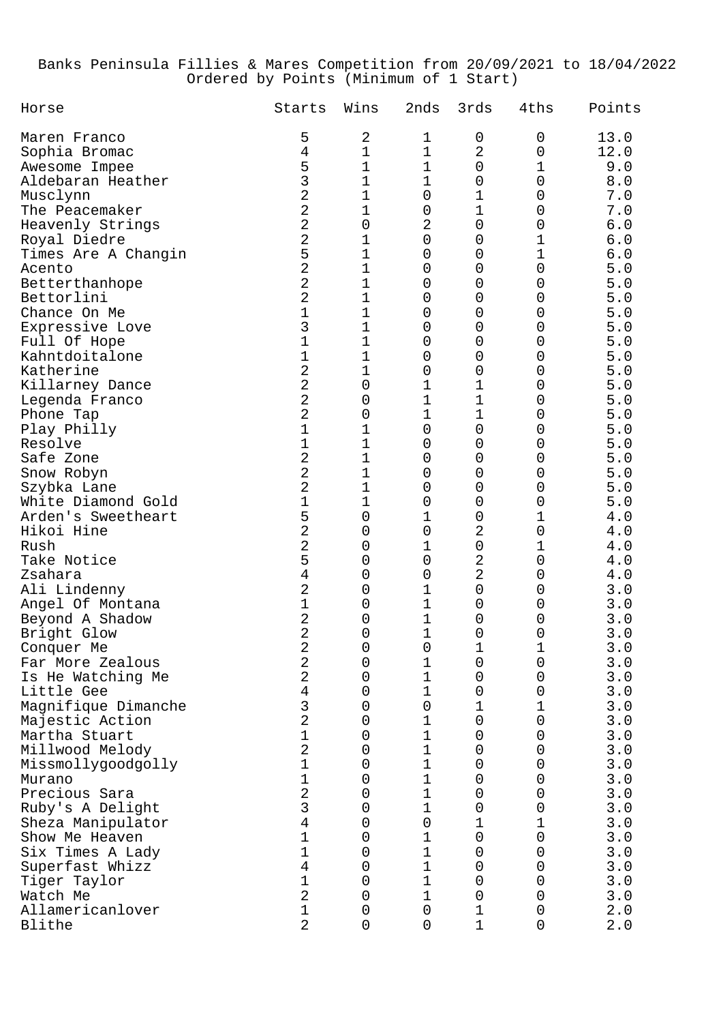## Banks Peninsula Fillies & Mares Competition from 20/09/2021 to 18/04/2022 Ordered by Points (Minimum of 1 Start)

| Horse                                 | Starts              | Wins             | 2nds             | 3rds           | 4ths   | Points     |
|---------------------------------------|---------------------|------------------|------------------|----------------|--------|------------|
| Maren Franco                          | 5                   | 2                | 1                | 0              | 0      | 13.0       |
| Sophia Bromac                         | 4                   | 1                | $\mathbf 1$      | $\sqrt{2}$     | 0      | 12.0       |
| Awesome Impee                         | 5                   | 1                | 1                | 0              | 1      | 9.0        |
| Aldebaran Heather                     | 3                   | 1                | 1                | 0              | 0      | 8.0        |
| Musclynn                              | 2                   | 1                | 0                | 1              | 0      | 7.0        |
| The Peacemaker                        | $\overline{2}$      | 1                | 0                | 1              | 0      | 7.0        |
| Heavenly Strings                      | $\overline{2}$      | 0                | 2                | 0              | 0      | 6.0        |
| Royal Diedre                          | $\overline{2}$      | 1                | 0                | 0              | 1      | 6.0        |
| Times Are A Changin                   | 5                   | 1                | 0                | 0              | 1      | 6.0        |
| Acento                                | $\overline{2}$      | 1                | 0                | 0              | 0      | 5.0        |
| Betterthanhope                        | 2                   | 1                | 0                | 0              | 0      | 5.0        |
| Bettorlini                            | 2                   | 1                | 0                | 0              | 0      | 5.0        |
| Chance On Me                          | $\overline{1}$      | 1                | 0                | 0              | 0      | 5.0        |
| Expressive Love                       | 3                   | 1                | 0                | 0              | 0      | 5.0        |
| Full Of Hope                          | $\overline{1}$      | 1                | 0                | 0              | 0      | 5.0        |
| Kahntdoitalone                        | 1                   | 1                | 0                | 0              | 0      | 5.0        |
| Katherine                             | 2                   | 1                | 0                | 0              | 0      | 5.0        |
| Killarney Dance                       | $\overline{2}$      | 0                | 1                | 1              | 0      | 5.0        |
| Legenda Franco                        | $\overline{2}$      | 0                | $\mathbf 1$      | $\mathbf 1$    | 0      | 5.0        |
| Phone Tap                             | $\overline{2}$      | 0                | $\mathbf 1$      | $\mathbf 1$    | 0      | 5.0        |
| Play Philly                           | 1                   | 1                | 0                | 0              | 0      | 5.0        |
| Resolve                               | 1                   | 1                | 0                | 0              | 0      | 5.0        |
| Safe Zone                             | 2                   | 1                | 0                | 0              | 0      | 5.0        |
| Snow Robyn                            | 2                   | 1                | 0                | 0              | 0      | 5.0        |
| Szybka Lane                           | 2                   | 1                | 0                | 0              | 0      | 5.0        |
| White Diamond Gold                    | 1                   | 1                | 0                | 0              | 0      | 5.0        |
| Arden's Sweetheart                    | 5                   | 0                | 1                | 0              | 1      | 4.0        |
| Hikoi Hine                            | 2                   | 0                | $\mathbf 0$      | $\overline{2}$ | 0      | 4.0        |
| Rush                                  | 2                   | 0                | 1                | $\mathsf 0$    | 1      | 4.0        |
| Take Notice                           | 5                   | 0                | $\mathbf 0$      | $\overline{2}$ | 0      | 4.0        |
| Zsahara                               | 4<br>2              | 0                | 0                | $\overline{2}$ | 0      | 4.0        |
| Ali Lindenny                          |                     | 0                | 1<br>$\mathbf 1$ | 0              | 0      | 3.0        |
| Angel Of Montana                      | 1<br>2              | 0                |                  | 0              | 0      | 3.0        |
| Beyond A Shadow                       | 2                   | 0<br>$\mathbf 0$ | 1<br>1           | 0              | 0      | 3.0        |
| Bright Glow                           |                     |                  |                  | 0              | 0      | 3.0        |
| Conquer Me                            | 2<br>$\overline{2}$ | 0<br>0           | 0<br>$\mathbf 1$ | ⊥              | ⊥<br>0 | 3.0<br>3.0 |
| Far More Zealous<br>Is He Watching Me | 2                   | $\mathbf 0$      | $\mathbf 1$      | 0              | 0      | 3.0        |
| Little Gee                            | $\overline{4}$      | $\mathbf 0$      | $\mathbf 1$      | 0<br>0         | 0      | 3.0        |
| Magnifique Dimanche                   | 3                   | $\mathbf 0$      | $\mathbf 0$      | 1              | 1      | 3.0        |
| Majestic Action                       | $\overline{2}$      | $\mathbf 0$      | $\mathbf 1$      | $\mathbf 0$    | 0      | 3.0        |
| Martha Stuart                         | 1                   | $\mathbf 0$      | $\mathbf 1$      | 0              | 0      | 3.0        |
| Millwood Melody                       | $\overline{2}$      | $\mathbf 0$      | $\mathbf 1$      | 0              | 0      | 3.0        |
| Missmollygoodgolly                    | 1                   | $\mathbf 0$      | $\mathbf 1$      | 0              | 0      | 3.0        |
| Murano                                | 1                   | $\mathbf 0$      | $\mathbf 1$      | 0              | 0      | 3.0        |
| Precious Sara                         | $\overline{2}$      | $\mathbf 0$      | $\mathbf 1$      | 0              | 0      | 3.0        |
| Ruby's A Delight                      | 3                   | $\mathbf 0$      | $\mathbf 1$      | 0              | 0      | 3.0        |
| Sheza Manipulator                     | 4                   | $\mathbf 0$      | $\mathbf 0$      | 1              | 1      | 3.0        |
| Show Me Heaven                        | 1                   | $\mathbf 0$      | $\mathbf 1$      | $\mathbf 0$    | 0      | 3.0        |
| Six Times A Lady                      | 1                   | $\mathbf 0$      | $1\,$            | 0              | 0      | 3.0        |
| Superfast Whizz                       | $\overline{4}$      | $\mathbf 0$      | $\mathbf 1$      | 0              | 0      | 3.0        |
| Tiger Taylor                          | 1                   | $\mathbf 0$      | $\mathbf 1$      | 0              | 0      | 3.0        |
| Watch Me                              | $\overline{2}$      | $\mathbf 0$      | $\mathbf 1$      | 0              | 0      | 3.0        |
| Allamericanlover                      | 1                   | $\mathbf 0$      | $\mathbf 0$      | 1              | 0      | 2.0        |
| Blithe                                | $\overline{2}$      | $\mathbf 0$      | $\overline{0}$   | $\mathbf 1$    | 0      | 2.0        |
|                                       |                     |                  |                  |                |        |            |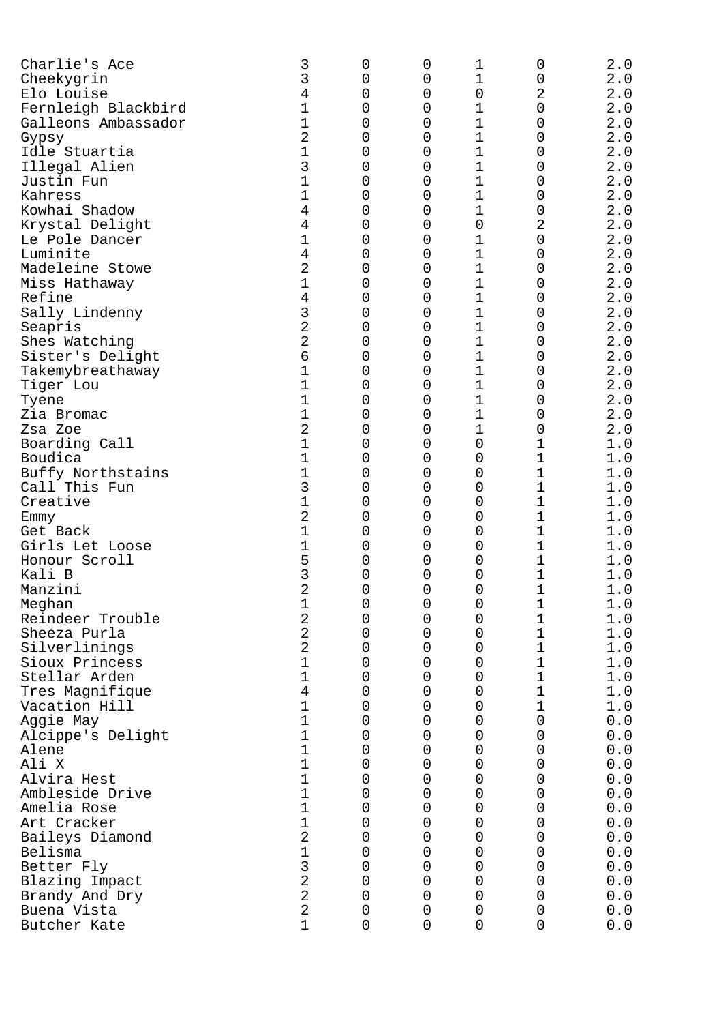| Charlie's Ace                      | 3              | 0      | 0           | 1           | 0                | 2.0         |
|------------------------------------|----------------|--------|-------------|-------------|------------------|-------------|
| Cheekygrin                         | 3              | 0      | 0           | 1           | 0                | 2.0         |
| Elo Louise                         | 4              | 0      | 0           | 0           | 2                | 2.0         |
| Fernleigh Blackbird                | 1              | 0      | 0           | 1           | 0                | 2.0         |
| Galleons Ambassador                | 1              | 0      | 0           | $\mathbf 1$ | 0                | 2.0         |
| Gypsy                              | 2              | 0      | 0           | $\mathbf 1$ | 0                | 2.0         |
| Idle Stuartia                      | 1              | 0      | 0           | $\mathbf 1$ | 0                | $2 \cdot 0$ |
| Illegal Alien                      | 3              | 0      | 0           | 1           | 0                | 2.0         |
| Justin Fun                         | 1              | 0      | 0           | 1           | 0                | 2.0         |
| Kahress                            | 1              | 0      | 0           | 1           | 0                | 2.0         |
| Kowhai Shadow                      | 4              | 0      | 0           | 1           | 0                | 2.0         |
| Krystal Delight                    | 4              | 0      | 0           | 0           | 2                | 2.0         |
| Le Pole Dancer                     | 1              | 0      | 0           | 1           | 0                | $2 \cdot 0$ |
| Luminite                           | 4              | 0      | 0           | $\mathbf 1$ | 0                | 2.0         |
| Madeleine Stowe                    | 2              | 0      | 0           | 1           | 0                | 2.0         |
| Miss Hathaway                      | 1              | 0      | 0           | $\mathbf 1$ | 0                | 2.0         |
| Refine                             | 4              | 0      | 0           | $\mathbf 1$ | 0                | 2.0         |
| Sally Lindenny                     | 3              | 0      | 0           | $\mathbf 1$ | 0                | 2.0         |
| Seapris                            | 2              | 0      | 0           | $\mathbf 1$ | 0                | $2 \cdot 0$ |
| Shes Watching                      | 2              | 0      | 0           | $\mathbf 1$ | 0                | $2 \cdot 0$ |
| Sister's Delight                   | 6              | 0      | 0           | 1           | 0                | 2.0         |
| Takemybreathaway                   | 1              | 0      | 0           | $\mathbf 1$ | 0                | 2.0         |
| Tiger Lou                          | 1              | 0      | 0           | $\mathbf 1$ | 0                | 2.0         |
| Tyene                              | 1              | 0      | 0           | $\mathbf 1$ | 0                | 2.0         |
| Zia Bromac                         | 1              | 0      | 0           | $\mathbf 1$ | 0                | 2.0         |
| Zsa Zoe                            | 2              | 0      | 0           | 1           | 0                | 2.0         |
| Boarding Call<br>Boudica           | 1              | 0      | 0           | 0           | 1                | 1.0         |
|                                    |                | 0      | 0           | 0           | 1                | 1.0         |
| Buffy Northstains<br>Call This Fun | 1<br>3         | 0<br>0 | 0           | 0           | 1<br>1           | 1.0         |
|                                    | 1              |        | 0           | 0           | 1                | 1.0         |
| Creative                           |                | 0      | 0           | 0           |                  | 1.0         |
| Emmy                               | 2              | 0      | 0           | 0           | $\mathbf 1$<br>1 | 1.0         |
| Get Back<br>Girls Let Loose        | 1<br>1         | 0<br>0 | 0           | 0<br>0      | 1                | 1.0         |
| Honour Scroll                      | 5              | 0      | 0<br>0      | 0           |                  | 1.0         |
| Kali B                             | 3              | 0      | 0           | 0           | 1<br>1           | 1.0<br>1.0  |
| Manzini                            | 2              | 0      | 0           | 0           | 1                | 1.0         |
|                                    |                |        | 0           | 0           |                  | 1.0         |
| Meghan<br>Reindeer Trouble         | ⊥<br>2         | 0<br>0 | 0           | $\mathbf 0$ | ⊥<br>1           | $1.0$       |
| Sheeza Purla                       | 2              | 0      | 0           | 0           | 1                | 1.0         |
| Silverlinings                      | 2              | 0      | 0           | 0           | 1                | 1.0         |
| Sioux Princess                     | 1              | 0      | 0           | 0           | 1                | 1.0         |
| Stellar Arden                      | 1              | 0      | 0           | 0           | 1                | 1.0         |
| Tres Magnifique                    | $\overline{4}$ | 0      | 0           | 0           | 1                | 1.0         |
| Vacation Hill                      | 1              | 0      | 0           | 0           | 1                | 1.0         |
| Aggie May                          | 1              | 0      | 0           | 0           | 0                | 0.0         |
| Alcippe's Delight                  | 1              | 0      | 0           | 0           | 0                | 0.0         |
| Alene                              | 1              | 0      | 0           | 0           | 0                | 0.0         |
| Ali X                              | $\mathbf 1$    | 0      | 0           | 0           | 0                | 0.0         |
| Alvira Hest                        | $\mathbf 1$    | 0      | 0           | 0           | 0                | 0.0         |
| Ambleside Drive                    | 1              | 0      | 0           | 0           | 0                | 0.0         |
| Amelia Rose                        | 1              | 0      | 0           | 0           | 0                | 0.0         |
| Art Cracker                        | 1              | 0      | 0           | 0           | 0                | 0.0         |
| Baileys Diamond                    | 2              | 0      | 0           | 0           | 0                | 0.0         |
| Belisma                            | $\mathbf 1$    | 0      | 0           | 0           | 0                | 0.0         |
| Better Fly                         | 3              | 0      | 0           | 0           | 0                | 0.0         |
| Blazing Impact                     | $\overline{2}$ | 0      | 0           | 0           | 0                | 0.0         |
| Brandy And Dry                     | $\overline{2}$ | 0      | 0           | 0           | 0                | 0.0         |
| Buena Vista                        | 2              | 0      | 0           | $\mathbf 0$ | 0                | 0.0         |
| Butcher Kate                       | 1              | 0      | $\mathbf 0$ | $\mathbf 0$ | 0                | 0.0         |
|                                    |                |        |             |             |                  |             |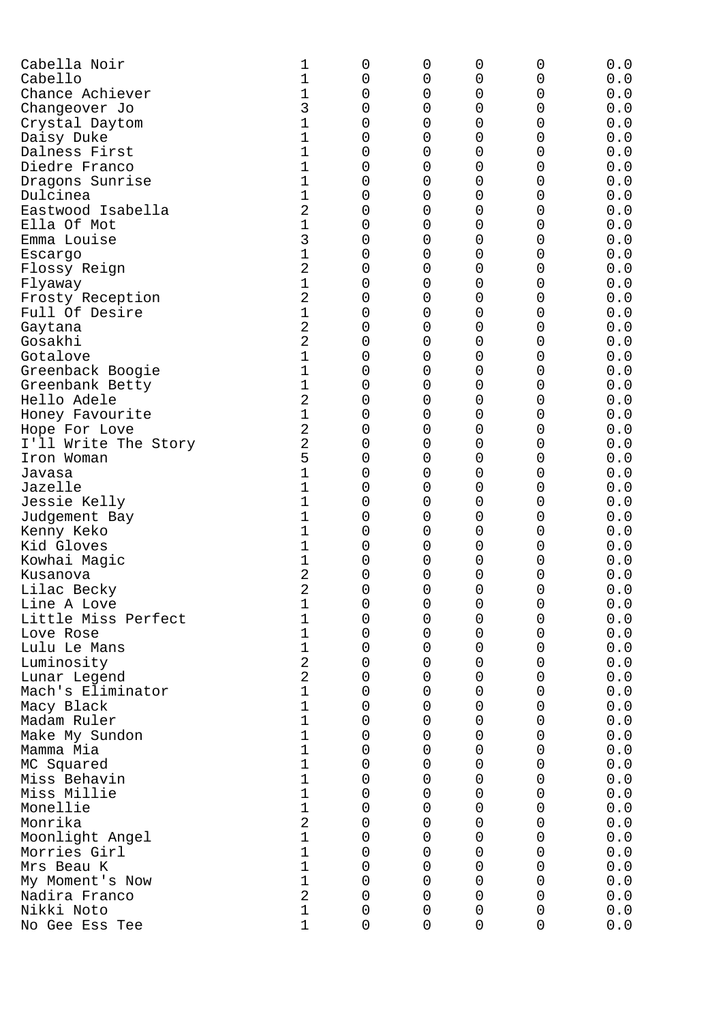| Cabella Noir         | 1              | 0           | 0 | 0 | 0 | 0.0 |
|----------------------|----------------|-------------|---|---|---|-----|
| Cabello              | 1              | 0           | 0 | 0 | 0 | 0.0 |
| Chance Achiever      | 1              | 0           | O | 0 | 0 | 0.0 |
| Changeover Jo        | 3              | 0           | O | 0 | 0 | 0.0 |
| Crystal Daytom       | 1              | 0           | 0 | 0 | 0 | 0.0 |
| Daisy Duke           | 1              | 0           | 0 | 0 | 0 | 0.0 |
| Dalness First        | 1              | 0           | 0 | 0 | 0 | 0.0 |
| Diedre Franco        | 1              | 0           | 0 | 0 | 0 | 0.0 |
|                      |                |             |   |   |   |     |
| Dragons Sunrise      | 1              | 0           | 0 | 0 | 0 | 0.0 |
| Dulcinea             | 1              | 0           | 0 | 0 | 0 | 0.0 |
| Eastwood Isabella    | 2              | 0           | 0 | 0 | 0 | 0.0 |
| Ella Of Mot          | 1              | 0           | 0 | 0 | 0 | 0.0 |
| Emma Louise          | 3              | 0           | 0 | 0 | 0 | 0.0 |
| Escargo              | 1              | 0           | 0 | 0 | 0 | 0.0 |
| Flossy Reign         | 2              | 0           | 0 | 0 | 0 | 0.0 |
| Flyaway              | 1              | 0           | 0 | 0 | 0 | 0.0 |
| Frosty Reception     | 2              | 0           | 0 | 0 | 0 | 0.0 |
| Full Of Desire       | 1              | 0           | 0 | 0 | 0 | 0.0 |
|                      |                |             |   |   |   |     |
| Gaytana              | 2              | 0           | 0 | 0 | 0 | 0.0 |
| Gosakhi              | 2              | 0           | 0 | 0 | 0 | 0.0 |
| Gotalove             | 1              | 0           | 0 | 0 | 0 | 0.0 |
| Greenback Boogie     | 1              | 0           | 0 | 0 | 0 | 0.0 |
| Greenbank Betty      | 1              | 0           | 0 | 0 | 0 | 0.0 |
| Hello Adele          | 2              | 0           | 0 | 0 | 0 | 0.0 |
| Honey Favourite      | 1              | 0           | 0 | 0 | 0 | 0.0 |
| Hope For Love        | $\overline{2}$ | 0           | 0 | 0 | 0 | 0.0 |
|                      | 2              | 0           |   | 0 | 0 |     |
| I'll Write The Story |                |             | 0 |   |   | 0.0 |
| Iron Woman           | 5              | 0           | 0 | 0 | 0 | 0.0 |
| Javasa               | 1              | 0           | 0 | 0 | 0 | 0.0 |
| Jazelle              | 1              | 0           | 0 | 0 | 0 | 0.0 |
| Jessie Kelly         | 1              | 0           | 0 | 0 | 0 | 0.0 |
| Judgement Bay        | 1              | 0           | 0 | 0 | 0 | 0.0 |
| Kenny Keko           | 1              | 0           | O | 0 | 0 | 0.0 |
| Kid Gloves           | 1              | 0           | 0 | 0 | 0 | 0.0 |
| Kowhai Magic         | 1              | 0           | 0 | 0 | 0 | 0.0 |
| Kusanova             | 2              | 0           | 0 | 0 | 0 | 0.0 |
|                      | 2              |             |   |   |   |     |
| Lilac Becky          |                | 0           | 0 | 0 | 0 | 0.0 |
| Line A Love          | T              | 0           | 0 | 0 | 0 | 0.0 |
| Little Miss Perfect  | 1              | 0           | 0 | 0 | 0 | 0.0 |
| Love Rose            | 1              | 0           | 0 | 0 | 0 | 0.0 |
| Lulu Le Mans         | 1              | 0           | 0 | 0 | 0 | 0.0 |
| Luminosity           | $\overline{2}$ | 0           | 0 | 0 | 0 | 0.0 |
| Lunar Legend         | $\overline{a}$ | 0           | 0 | 0 | 0 | 0.0 |
| Mach's Eliminator    | 1              | 0           | 0 | 0 | 0 | 0.0 |
| Macy Black           | 1              | 0           | 0 | 0 | 0 | 0.0 |
| Madam Ruler          | 1              | 0           | 0 | 0 | 0 | 0.0 |
|                      | 1              |             |   |   |   | 0.0 |
| Make My Sundon       |                | 0           | 0 | 0 | 0 |     |
| Mamma Mia            | 1              | 0           | 0 | 0 | 0 | 0.0 |
| MC Squared           | 1              | 0           | 0 | 0 | 0 | 0.0 |
| Miss Behavin         | 1              | 0           | 0 | 0 | 0 | 0.0 |
| Miss Millie          | 1              | 0           | 0 | 0 | 0 | 0.0 |
| Monellie             | 1              | 0           | 0 | 0 | 0 | 0.0 |
| Monrika              | $\sqrt{2}$     | 0           | 0 | 0 | 0 | 0.0 |
| Moonlight Angel      | 1              | 0           | 0 | 0 | 0 | 0.0 |
| Morries Girl         | 1              | 0           | 0 | 0 | 0 | 0.0 |
| Mrs Beau K           | 1              | 0           | 0 | 0 | 0 | 0.0 |
|                      |                |             |   |   |   |     |
| My Moment's Now      | 1              | 0           | 0 | 0 | 0 | 0.0 |
| Nadira Franco        | $\overline{a}$ | $\mathsf 0$ | 0 | 0 | 0 | 0.0 |
| Nikki Noto           | 1              | $\mathsf 0$ | 0 | 0 | 0 | 0.0 |
| No Gee Ess Tee       | $\overline{1}$ | 0           | 0 | 0 | 0 | 0.0 |